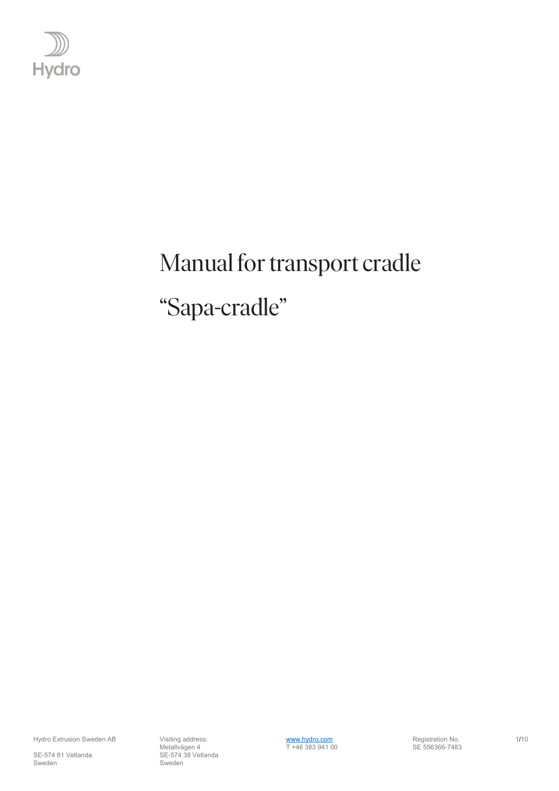

# <span id="page-0-1"></span><span id="page-0-0"></span>Manual for transport cradle "Sapa-cradle"

SE-574 81 Vetlanda SE-574 38 Vetlanda Sweden Sweden Sweden Sweden Sweden Sweden Sweden Sweden Sweden Sweden Sweden Sweden Sweden Sweden Sweden Sweden

Hydro Extrusion Sweden AB Visiting address:<br>Metallvägen 4 1710 T +46 383 941 00 SE 556366-7483 Metallvägen 4 T +46 383 941 00 SE 556366-7483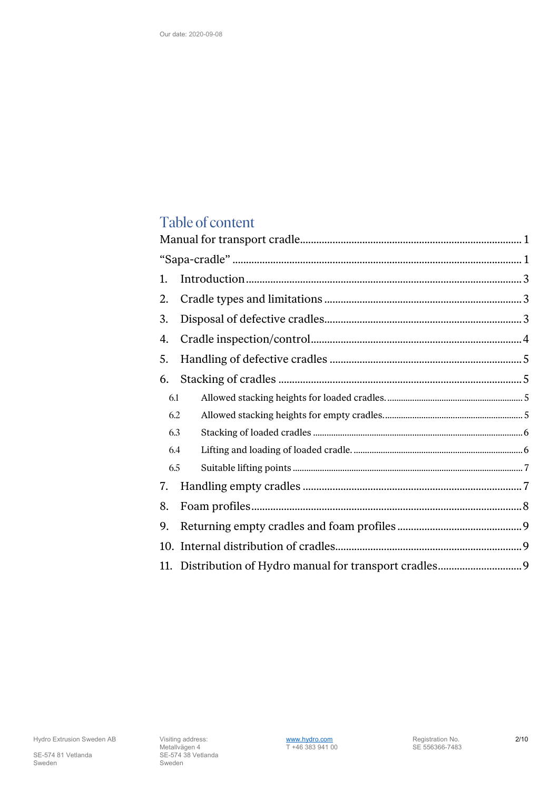# Table of content

| 1.  |  |  |  |
|-----|--|--|--|
| 2.  |  |  |  |
| 3.  |  |  |  |
| 4.  |  |  |  |
| 5.  |  |  |  |
| 6.  |  |  |  |
| 6.1 |  |  |  |
| 6.2 |  |  |  |
| 6.3 |  |  |  |
| 6.4 |  |  |  |
| 6.5 |  |  |  |
| 7.  |  |  |  |
| 8.  |  |  |  |
| 9.  |  |  |  |
|     |  |  |  |
|     |  |  |  |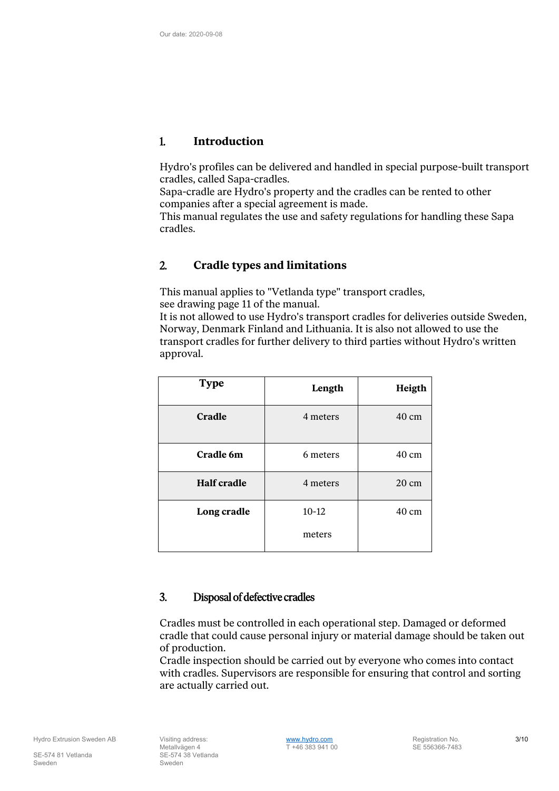#### <span id="page-2-0"></span>1. **Introduction**

Hydro's profiles can be delivered and handled in special purpose-built transport cradles, called Sapa-cradles.

Sapa-cradle are Hydro's property and the cradles can be rented to other companies after a special agreement is made.

This manual regulates the use and safety regulations for handling these Sapa cradles.

## <span id="page-2-1"></span>2. **Cradle types and limitations**

This manual applies to "Vetlanda type" transport cradles, see drawing page 11 of the manual.

It is not allowed to use Hydro's transport cradles for deliveries outside Sweden, Norway, Denmark Finland and Lithuania. It is also not allowed to use the transport cradles for further delivery to third parties without Hydro's written approval.

| <b>Type</b>        | Length    | Heigth          |
|--------------------|-----------|-----------------|
| Cradle             | 4 meters  | 40 cm           |
| Cradle 6m          | 6 meters  | 40 cm           |
| <b>Half cradle</b> | 4 meters  | $20 \text{ cm}$ |
| Long cradle        | $10 - 12$ | $40 \text{ cm}$ |
|                    | meters    |                 |

#### <span id="page-2-2"></span>3. Disposal of defective cradles

Cradles must be controlled in each operational step. Damaged or deformed cradle that could cause personal injury or material damage should be taken out of production.

Cradle inspection should be carried out by everyone who comes into contact with cradles. Supervisors are responsible for ensuring that control and sorting are actually carried out.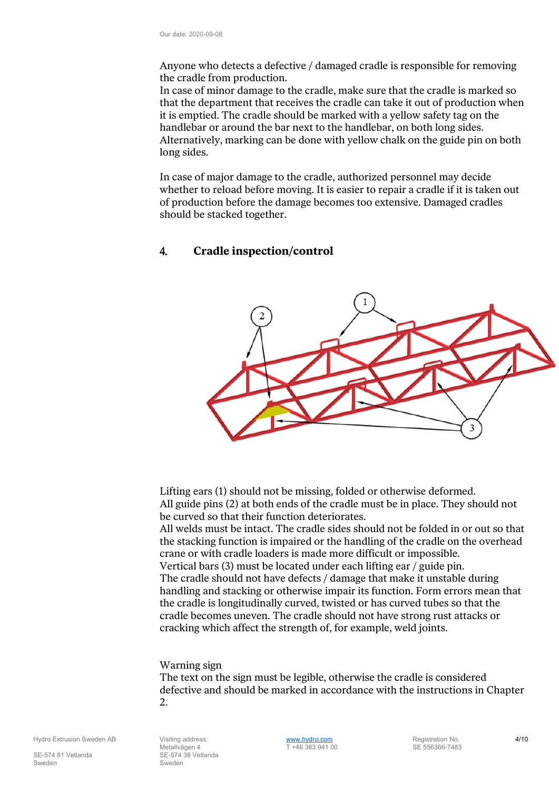Anyone who detects a defective / damaged cradle is responsible for removing the cradle from production.

In case of minor damage to the cradle, make sure that the cradle is marked so that the department that receives the cradle can take it out of production when it is emptied. The cradle should be marked with a yellow safety tag on the handlebar or around the bar next to the handlebar, on both long sides. Alternatively, marking can be done with yellow chalk on the guide pin on both long sides.

In case of major damage to the cradle, authorized personnel may decide whether to reload before moving. It is easier to repair a cradle if it is taken out of production before the damage becomes too extensive. Damaged cradles should be stacked together.

#### <span id="page-3-0"></span>4. **Cradle inspection/control**



Lifting ears (1) should not be missing, folded or otherwise deformed. All guide pins (2) at both ends of the cradle must be in place. They should not be curved so that their function deteriorates.

All welds must be intact. The cradle sides should not be folded in or out so that the stacking function is impaired or the handling of the cradle on the overhead crane or with cradle loaders is made more difficult or impossible. Vertical bars (3) must be located under each lifting ear / guide pin. The cradle should not have defects / damage that make it unstable during handling and stacking or otherwise impair its function. Form errors mean that the cradle is longitudinally curved, twisted or has curved tubes so that the cradle becomes uneven. The cradle should not have strong rust attacks or cracking which affect the strength of, for example, weld joints.

#### Warning sign

The text on the sign must be legible, otherwise the cradle is considered defective and should be marked in accordance with the instructions in Chapter 2.

Sweden Sweden Sweden Sweden Sweden Sweden Sweden Sweden Sweden Sweden Sweden Sweden Sweden Sweden Sweden Sweden

Hydro Extrusion Sweden AB Visiting address:<br>Metallyägen 4 10 views von 17 +46 383 941 00 SE 556366-7483 Metallvägen 4  $\overline{T} +4638394100$ SE-574 81 Vetlanda SE-574 38 Vetlanda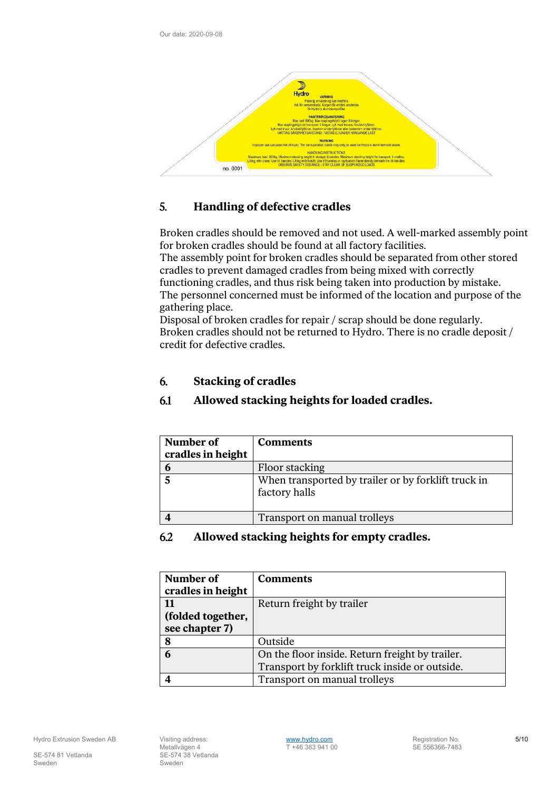

# <span id="page-4-0"></span>5. **Handling of defective cradles**

Broken cradles should be removed and not used. A well-marked assembly point for broken cradles should be found at all factory facilities.

The assembly point for broken cradles should be separated from other stored cradles to prevent damaged cradles from being mixed with correctly functioning cradles, and thus risk being taken into production by mistake. The personnel concerned must be informed of the location and purpose of the gathering place.

Disposal of broken cradles for repair / scrap should be done regularly. Broken cradles should not be returned to Hydro. There is no cradle deposit / credit for defective cradles.

## <span id="page-4-1"></span>6. **Stacking of cradles**

# <span id="page-4-2"></span>6.1 **Allowed stacking heights for loaded cradles.**

| Number of         | <b>Comments</b>                                                      |
|-------------------|----------------------------------------------------------------------|
| cradles in height |                                                                      |
| $\bm{b}$          | Floor stacking                                                       |
|                   | When transported by trailer or by forklift truck in<br>factory halls |
|                   | Transport on manual trolleys                                         |

#### <span id="page-4-3"></span>6.2 **Allowed stacking heights for empty cradles.**

| Number of         | <b>Comments</b>                                 |
|-------------------|-------------------------------------------------|
| cradles in height |                                                 |
| 11                | Return freight by trailer                       |
| (folded together, |                                                 |
| see chapter 7)    |                                                 |
| 8                 | Outside                                         |
| 6                 | On the floor inside. Return freight by trailer. |
|                   | Transport by forklift truck inside or outside.  |
|                   | Transport on manual trolleys                    |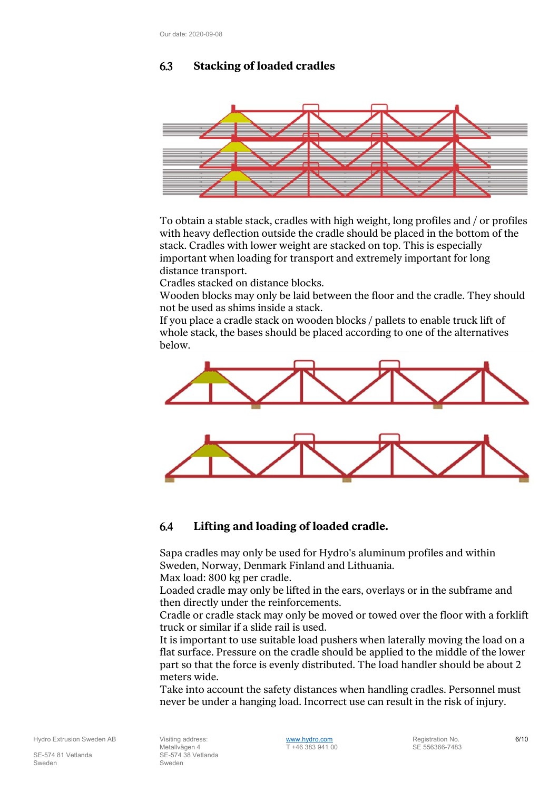## <span id="page-5-0"></span>6.3 **Stacking of loaded cradles**



To obtain a stable stack, cradles with high weight, long profiles and / or profiles with heavy deflection outside the cradle should be placed in the bottom of the stack. Cradles with lower weight are stacked on top. This is especially important when loading for transport and extremely important for long distance transport.

Cradles stacked on distance blocks.

Wooden blocks may only be laid between the floor and the cradle. They should not be used as shims inside a stack.

If you place a cradle stack on wooden blocks / pallets to enable truck lift of whole stack, the bases should be placed according to one of the alternatives below.



#### <span id="page-5-1"></span>6.4 **Lifting and loading of loaded cradle.**

Sapa cradles may only be used for Hydro's aluminum profiles and within Sweden, Norway, Denmark Finland and Lithuania.

Max load: 800 kg per cradle.

Loaded cradle may only be lifted in the ears, overlays or in the subframe and then directly under the reinforcements.

Cradle or cradle stack may only be moved or towed over the floor with a forklift truck or similar if a slide rail is used.

It is important to use suitable load pushers when laterally moving the load on a flat surface. Pressure on the cradle should be applied to the middle of the lower part so that the force is evenly distributed. The load handler should be about 2 meters wide.

Take into account the safety distances when handling cradles. Personnel must never be under a hanging load. Incorrect use can result in the risk of injury.

Sweden Sweden Sweden Sweden Sweden Sweden Sweden Sweden Sweden Sweden Sweden Sweden Sweden Sweden Sweden Sweden

Hydro Extrusion Sweden AB Visiting address:<br>Metallyägen 4 1988 Metallyägen 4 1988 Metallyägen 4 1988 Metallyägen 4 1988 Metallyägen 4 1988 Metallyägen 4 19 Metallvägen 4 T +46 383 941 00 SE-574 81 Vetlanda SE-574 38 Vetlanda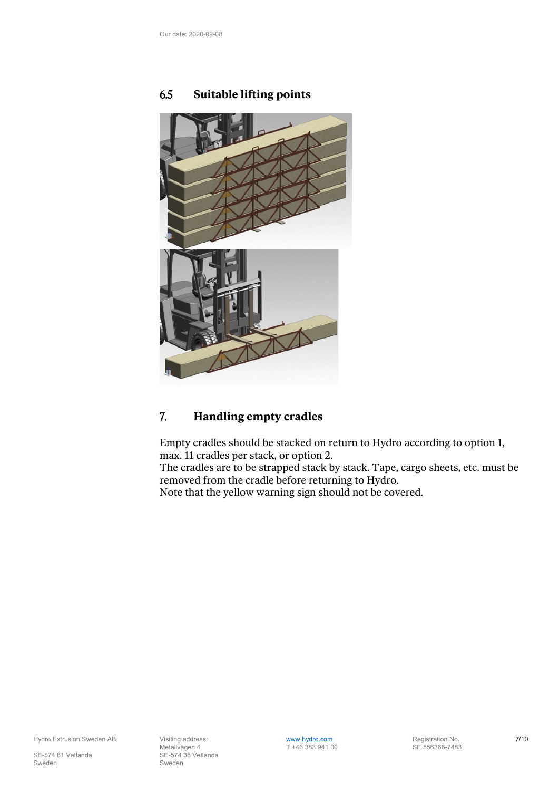

# <span id="page-6-0"></span>6.5 **Suitable lifting points**

## <span id="page-6-1"></span>7. **Handling empty cradles**

Empty cradles should be stacked on return to Hydro according to option 1, max. 11 cradles per stack, or option 2.

The cradles are to be strapped stack by stack. Tape, cargo sheets, etc. must be removed from the cradle before returning to Hydro.

Note that the yellow warning sign should not be covered.

SE-574 81 Vetlanda SE-574 38 Vetlanda Sweden Sweden Sweden Sweden Sweden Sweden Sweden Sweden Sweden Sweden Sweden Sweden Sweden Sweden Sweden Sweden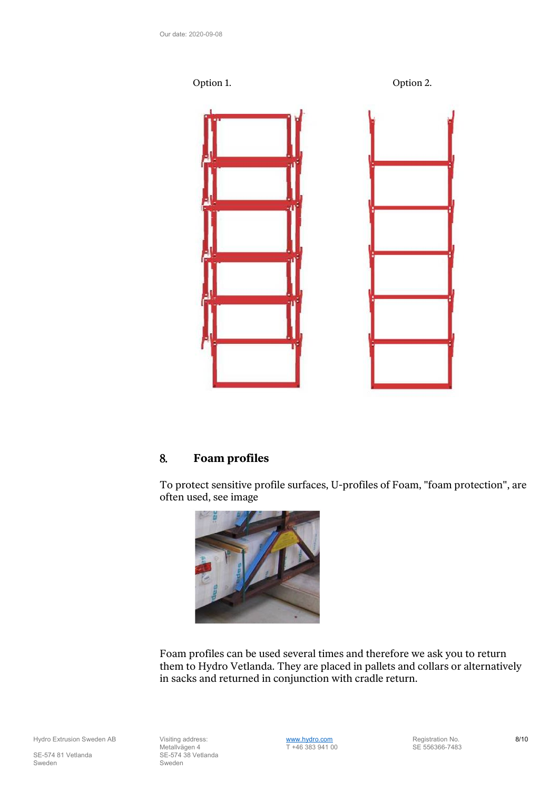



## <span id="page-7-0"></span>8. **Foam profiles**

To protect sensitive profile surfaces, U-profiles of Foam, "foam protection", are often used, see image



Foam profiles can be used several times and therefore we ask you to return them to Hydro Vetlanda. They are placed in pallets and collars or alternatively in sacks and returned in conjunction with cradle return.

SE-574 81 Vetlanda SE-574 38 Vetlanda Sweden Sweden Sweden Sweden Sweden Sweden Sweden Sweden Sweden Sweden Sweden Sweden Sweden Sweden Sweden Sweden

Hydro Extrusion Sweden AB Visiting address:<br>Metallvägen 4 1982 Metallvägen 4 1983 941 00 SE 556366-7483 Metallvägen 4 T +46 383 941 00 SE 556366-7483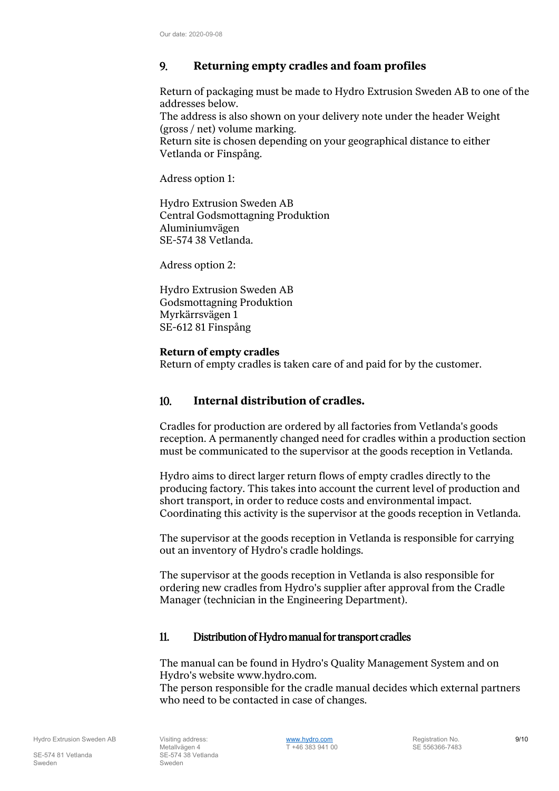# <span id="page-8-0"></span>9. **Returning empty cradles and foam profiles**

Return of packaging must be made to Hydro Extrusion Sweden AB to one of the addresses below.

The address is also shown on your delivery note under the header Weight (gross / net) volume marking.

Return site is chosen depending on your geographical distance to either Vetlanda or Finspång.

Adress option 1:

Hydro Extrusion Sweden AB Central Godsmottagning Produktion Aluminiumvägen SE-574 38 Vetlanda.

Adress option 2:

Hydro Extrusion Sweden AB Godsmottagning Produktion Myrkärrsvägen 1 SE-612 81 Finspång

#### **Return of empty cradles**

Return of empty cradles is taken care of and paid for by the customer.

#### <span id="page-8-1"></span>10. **Internal distribution of cradles.**

Cradles for production are ordered by all factories from Vetlanda's goods reception. A permanently changed need for cradles within a production section must be communicated to the supervisor at the goods reception in Vetlanda.

Hydro aims to direct larger return flows of empty cradles directly to the producing factory. This takes into account the current level of production and short transport, in order to reduce costs and environmental impact. Coordinating this activity is the supervisor at the goods reception in Vetlanda.

The supervisor at the goods reception in Vetlanda is responsible for carrying out an inventory of Hydro's cradle holdings.

The supervisor at the goods reception in Vetlanda is also responsible for ordering new cradles from Hydro's supplier after approval from the Cradle Manager (technician in the Engineering Department).

#### <span id="page-8-2"></span>11. Distribution of Hydro manual for transport cradles

The manual can be found in Hydro's Quality Management System and on Hydro's website www.hydro.com.

The person responsible for the cradle manual decides which external partners who need to be contacted in case of changes.